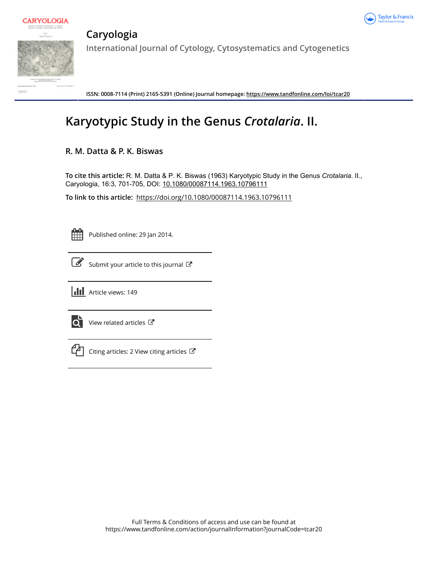



**Caryologia International Journal of Cytology, Cytosystematics and Cytogenetics**

**ISSN: 0008-7114 (Print) 2165-5391 (Online) Journal homepage:<https://www.tandfonline.com/loi/tcar20>**

# **Karyotypic Study in the Genus** *Crotalaria***. II.**

## **R. M. Datta & P. K. Biswas**

**To cite this article:** R. M. Datta & P. K. Biswas (1963) Karyotypic Study in the Genus *Crotalaria*. II., Caryologia, 16:3, 701-705, DOI: [10.1080/00087114.1963.10796111](https://www.tandfonline.com/action/showCitFormats?doi=10.1080/00087114.1963.10796111)

**To link to this article:** <https://doi.org/10.1080/00087114.1963.10796111>

Published online: 29 Jan 2014.

[Submit your article to this journal](https://www.tandfonline.com/action/authorSubmission?journalCode=tcar20&show=instructions)  $\mathbb{Z}$ 





 $\overrightarrow{Q}$  [View related articles](https://www.tandfonline.com/doi/mlt/10.1080/00087114.1963.10796111)  $\overrightarrow{C}$ 



 $\Box$  [Citing articles: 2 View citing articles](https://www.tandfonline.com/doi/citedby/10.1080/00087114.1963.10796111#tabModule)  $\Box$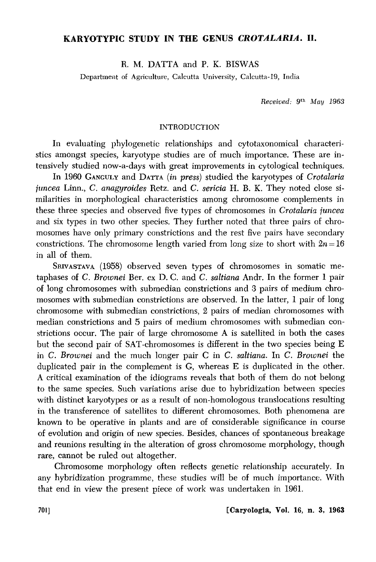### **KARYOTYPIC STUDY IN THE GENUS** *CROTALARIA.* **II.**

R. M. DATTA and P. K. BISWAS

Department of Agriculture, Calcutta University, Calcutta-19, India

*Received:* gth *May 1963* 

#### INTRODUCTION

In evaluating phylogenetic relationships and cytotaxonomical characteristics amongst species, karyotype studies are of much importance. These are intensively studied now-a-days with great improvements in cytological techniques.

In 1960 GANGULY and DATIA *(in press)* studied the karyotypes of *Crotalaria juncea* Linn., C. *anagyroides* Retz. and C. *sericia* **H.** B. K. They noted close similarities in morphological characteristics among chromosome complements in these three species and observed five types of chromosomes in *Crotalaria juncea*  and six types in two other species. They further noted that three pairs of chromosomes have only primary constrictions and the rest five pairs have secondary constrictions. The chromosome length varied from long size to short with  $2n = 16$ in all of them.

SRIVASTAVA (1958) observed seven types of chromosomes in somatic metaphases of C. *Brownei* Ber. ex D. C. and C. *saltiana* Andr. In the former 1 pair of long chromosomes with submedian constrictions and 3 pairs of medium chromosomes with submedian constrictions are observed. In the latter, **1** pair of long chromosome with submedian constrictions, 2 pairs of median chromosomes with median constrictions and 5 pairs of medium chromosomes with submedian constrictions occur. The pair of large chromosome A is satellited in both the cases but the second pair of SAT -chromosomes is different in the two species being E in C. *Brownei* and the much longer pair C in C. *saltiana.* In C. *Brownei* the duplicated pair in the complement is G, whereas E is duplicated in the other. A critical examination of the idiograms reveals that both of them do not belong to the same species. Such variations arise due to hybridization between species with distinct karyotypes or as a result of non-homologous translocations resulting in the transference of satellites to different chromosomes. Both phenomena are known to be operative in plants and are of considerable significance in course of evolution and origin of new species. Besides, chances of spontaneous breakage and reunions resulting in the alteration of gross chromosome morphology, though rare, cannot be ruled out altogether.

Chromosome morphology often reflects genetic relationship accurately. In any hybridization programme, these studies will be of much importance. With that end in view the present piece of work was undertaken in 1961.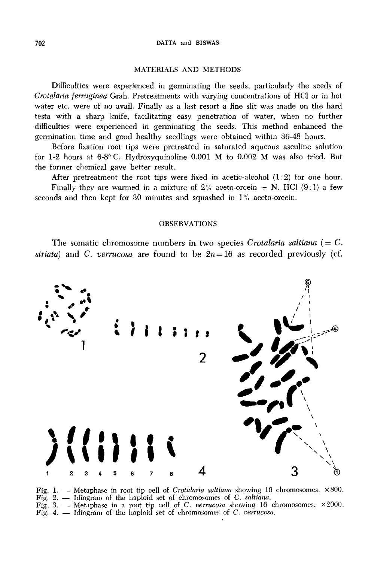#### 702 DATTA and BISWAS

#### MATERIALS AND METHODS

Difficulties were experienced in germinating the seeds, particularly the seeds of *Crotalaria ferruginea* Grah. Pretreatments with varying concentrations of HCl or in hot water etc. were of no avail. Finally as a last resort a fine slit was made on the hard testa with a sharp knife, facilitating easy penetration of water, when no further difficulties were experienced in germinating the seeds. This method enhanced the germination time and good healthy seedlings were obtained within 36-48 hours.

Before fixation root tips were pretreated in saturated aqueous asculine solution for 1-2 hours at 6-8° C. Hydroxyquinoline 0.001 M to 0.002 M was also tried. But the former chemical gave better result.

After pretreatment the root tips were fixed in acetic-alcohol  $(1:2)$  for one hour. Finally they are warmed in a mixture of  $2\%$  aceto-orcein + N. HCl (9:1) a few seconds and then kept for 30 minutes and squashed in  $1\%$  aceto-orcein.

#### OBSERVATIONS

The somatic chromosome numbers in two species *Crotalaria saltiana*  $(= C.$ *striata*) and C. *verrucosa* are found to be  $2n=16$  as recorded previously (cf.



Fig. 1. - Metaphase in root tip cell of *Crotalaria saltiana* showing 16 chromosomes. X 800. Fig. 2. - Idiogram of the haploid set of chromosomes of C. *saltiana*. Fig. 3. - Metaphase in a root tip cell of C. *verrucosa* showing 16 chromosomes. x2000. Fig. 4. - Idiogram of the haploid set of chromosomes of C. *verrucosa*.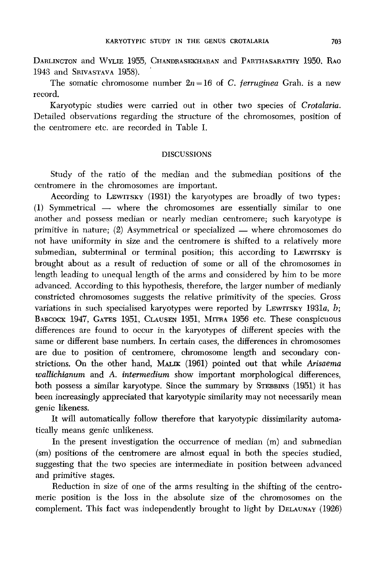DARLINGTON and WYLIE 1955, CHANDRASEKHARAN and PARTHASARATHY 1950, RAO 1943 and SRIVASTAVA 1958).

The somatic chromosome number  $2n = 16$  of C. *ferruginea* Grah. is a new record.

Karyotypic studies were carried out in other two species of *Crotalaria.*  Detailed observations regarding the structure of the chromosomes, position of the centromere etc. are recorded in Table I.

#### DISCUSSIONS

Study of the ratio of the median and the submedian positions of the centromere in the chromosomes are important.

According to LEWITSKY (1931) the karyotypes are broadly of two types: (1) Symmetrical - where the chromosomes are essentially similar to one another and possess median or nearly median centromere; such karyotype is primitive in nature; (2) Asymmetrical or specialized  $-$  where chromosomes do not have uniformity in size and the centromere is shifted to a relatively more submedian, subterminal or terminal position; this according to LEWITSKY is brought about as a result of reduction of some or all of the chromosomes in length leading to unequal length of the arms and considered by him to be more advanced. According to this hypothesis, therefore, the larger number of medianly constricted chromosomes suggests the relative primitivity of the species. Gross variations in such specialised karyotypes were reported by LEWITSKY 1931a, *b*; BABCOCK 1947, GATES 1951, CLAUSEN 1951, MITRA 1956 etc. These conspicuous differences are found to occur in the karyotypes of different species with the same or different base numbers. In certain cases, the differences in chromosomes are due to position of centromere, chromosome length and secondary constrictions. On the other hand, MALIK **(1961)** pointed out that while *Arisaema wallichianum* and A. *intermedium* show important morphological differences, both possess a similar karyotype. Since the summary by STEBBINS (1951) it has been increasingly appreciated that karyotypic similarity may not necessarily mean genic likeness.

It will automatically follow therefore that karyotypic dissimilarity automatically means genic unlikeness.

In the present investigation the occurrence of median (m) and submedian (sm) positions of the centromere are almost equal in both the species studied, suggesting that the two species are intermediate in position between advanced and primitive stages.

Reduction in size of one of the arms resulting in the shifting of the centromeric position is the loss in the absolute size of the chromosomes on the complement. This fact was independently brought to light by DELAUNAY (1926)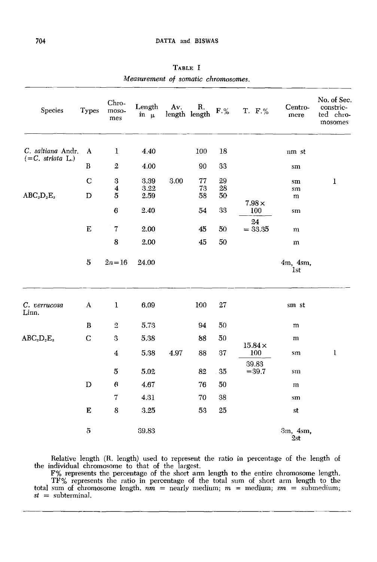| Species                                 | <b>Types</b>     | Chro-<br>moso-<br>mes                                | Length<br>in $\mu$   | Av.  | R.<br>length length | $\mathbf{F}.\%$ | T. F.%               | Centro-<br>mere             | No. of Sec.<br>constric-<br>ted chro-<br>mosomes |
|-----------------------------------------|------------------|------------------------------------------------------|----------------------|------|---------------------|-----------------|----------------------|-----------------------------|--------------------------------------------------|
| C. saltiana Andr.<br>$(=C. striata L.)$ | A                | 1                                                    | 4.40                 |      | 100                 | 18              |                      | nm st                       |                                                  |
|                                         | $\, {\bf B}$     | $\mathbf 2$                                          | 4.00                 |      | 90                  | 33              |                      | sm                          |                                                  |
| $ABC_2D_2E_2$                           | $\mathbf C$<br>D | $\bf 3$<br>$\overline{\mathbf{4}}$<br>$\overline{5}$ | 3.39<br>3.22<br>2.59 | 3.00 | 77<br>73<br>58      | 29<br>28<br>50  |                      | sm<br>sm<br>m               | $\bf{1}$                                         |
|                                         |                  | $\bf{6}$                                             | 2.40                 |      | 54                  | 33              | $7.98 \times$<br>100 | sm                          |                                                  |
|                                         | ${\bf E}$        | $\scriptstyle{7}$                                    | 2.00                 |      | 45                  | 50              | 24<br>$= 33.35$      | m                           |                                                  |
|                                         |                  | 8                                                    | 2.00                 |      | 45                  | 50              |                      | m                           |                                                  |
|                                         | $\bf 5$          | $2n = 16$                                            | 24.00                |      |                     |                 |                      | 4m, 4sm,<br><sup>1</sup> st |                                                  |
| C. verrucosa<br>Linn.                   | A                | 1                                                    | 6.09                 |      | 100                 | 27              |                      | sm st                       |                                                  |
|                                         | B                | $\mathfrak{2}$                                       | 5.73                 |      | 94                  | 50              |                      | m                           |                                                  |
| $ABC_2D_2E_2$                           | $\mathbf C$      | 3                                                    | 5.38                 |      | 88                  | 50              |                      | m                           |                                                  |
|                                         |                  | $\overline{\mathbf{4}}$                              | 5.38                 | 4.97 | 88                  | 37              | $15.84\times$<br>100 | sm                          | ı                                                |
|                                         |                  | $\bf 5$                                              | 5.02                 |      | 82                  | 35              | 39.83<br>$= 39.7$    | sm                          |                                                  |
|                                         | $\mathbf D$      | 6                                                    | 4.67                 |      | 76                  | 50              |                      | m                           |                                                  |
|                                         |                  | 7                                                    | 4.31                 |      | 70                  | 38              |                      | sm                          |                                                  |
|                                         | E                | 8                                                    | 3.25                 |      | 53                  | 25              |                      | st                          |                                                  |
|                                         | 5                |                                                      | 39.83                |      |                     |                 |                      | 3m, 4sm,<br>2st             |                                                  |

TABLE I *Measurement of somatic chromosomes.* 

Relative length (R. length) used to represent the ratio in percentage of the length of the individual chromosome to that of the largest.

F% represents the percentage of the short arm length to the entire chromosome length. TF% represents the ratio in percentage of the total sum of short arm length to the total sum of chromosome length. *nm* = nearly medium; *m* = medium; *sm* = submedium; *st* = subterminal.